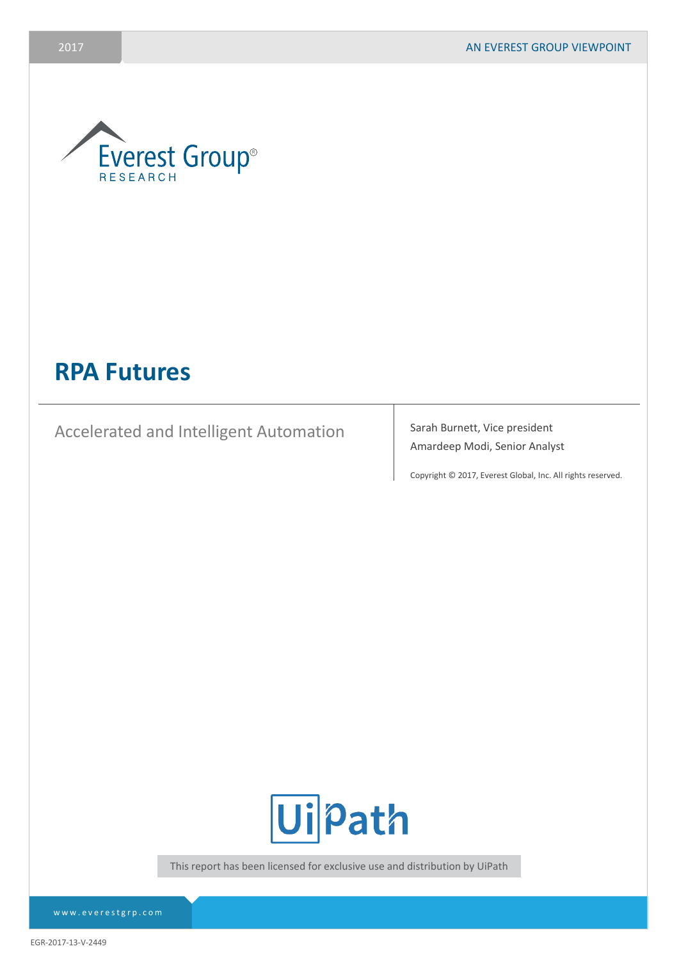

# **RPA Futures**

Accelerated and Intelligent Automation Sarah Burnett, Vice president

Amardeep Modi, Senior Analyst

Copyright © 2017, Everest Global, Inc. All rights reserved.



This report has been licensed for exclusive use and distribution by UiPath

EGR-2017-13-V-2449

www.everestgrp.com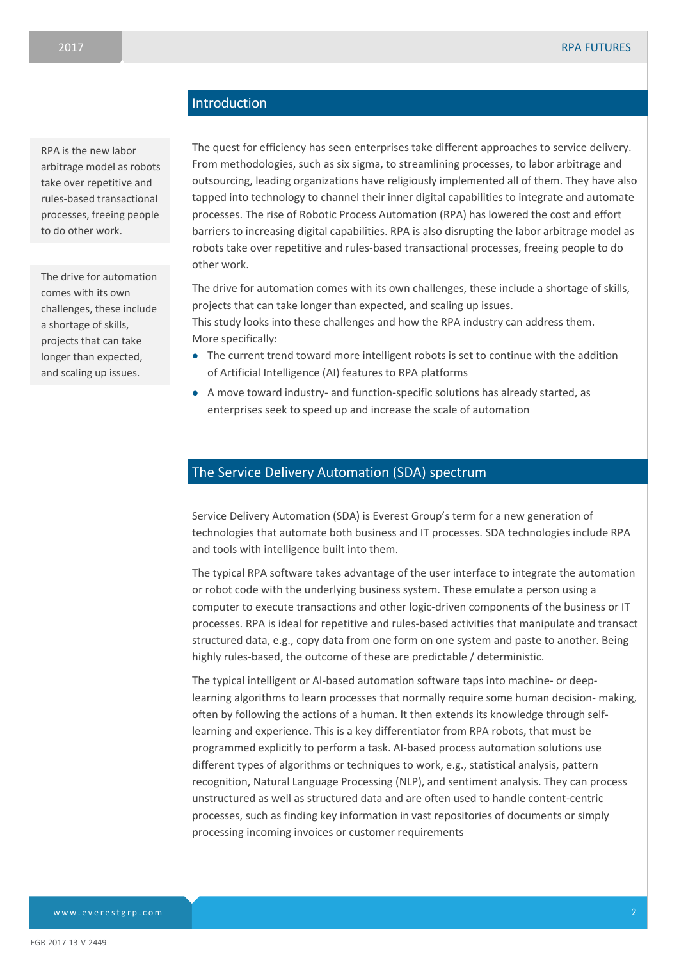# **Introduction**

RPA is the new labor arbitrage model as robots take over repetitive and rules-based transactional processes, freeing people to do other work.

The drive for automation comes with its own challenges, these include a shortage of skills, projects that can take longer than expected, and scaling up issues.

The quest for efficiency has seen enterprises take different approaches to service delivery. From methodologies, such as six sigma, to streamlining processes, to labor arbitrage and outsourcing, leading organizations have religiously implemented all of them. They have also tapped into technology to channel their inner digital capabilities to integrate and automate processes. The rise of Robotic Process Automation (RPA) has lowered the cost and effort barriers to increasing digital capabilities. RPA is also disrupting the labor arbitrage model as robots take over repetitive and rules-based transactional processes, freeing people to do other work.

The drive for automation comes with its own challenges, these include a shortage of skills, projects that can take longer than expected, and scaling up issues. This study looks into these challenges and how the RPA industry can address them. More specifically:

- The current trend toward more intelligent robots is set to continue with the addition of Artificial Intelligence (AI) features to RPA platforms
- A move toward industry- and function-specific solutions has already started, as enterprises seek to speed up and increase the scale of automation

## The Service Delivery Automation (SDA) spectrum

Service Delivery Automation (SDA) is Everest Group's term for a new generation of technologies that automate both business and IT processes. SDA technologies include RPA and tools with intelligence built into them.

The typical RPA software takes advantage of the user interface to integrate the automation or robot code with the underlying business system. These emulate a person using a computer to execute transactions and other logic-driven components of the business or IT processes. RPA is ideal for repetitive and rules-based activities that manipulate and transact structured data, e.g., copy data from one form on one system and paste to another. Being highly rules-based, the outcome of these are predictable / deterministic.

The typical intelligent or AI-based automation software taps into machine- or deeplearning algorithms to learn processes that normally require some human decision- making, often by following the actions of a human. It then extends its knowledge through selflearning and experience. This is a key differentiator from RPA robots, that must be programmed explicitly to perform a task. AI-based process automation solutions use different types of algorithms or techniques to work, e.g., statistical analysis, pattern recognition, Natural Language Processing (NLP), and sentiment analysis. They can process unstructured as well as structured data and are often used to handle content-centric processes, such as finding key information in vast repositories of documents or simply processing incoming invoices or customer requirements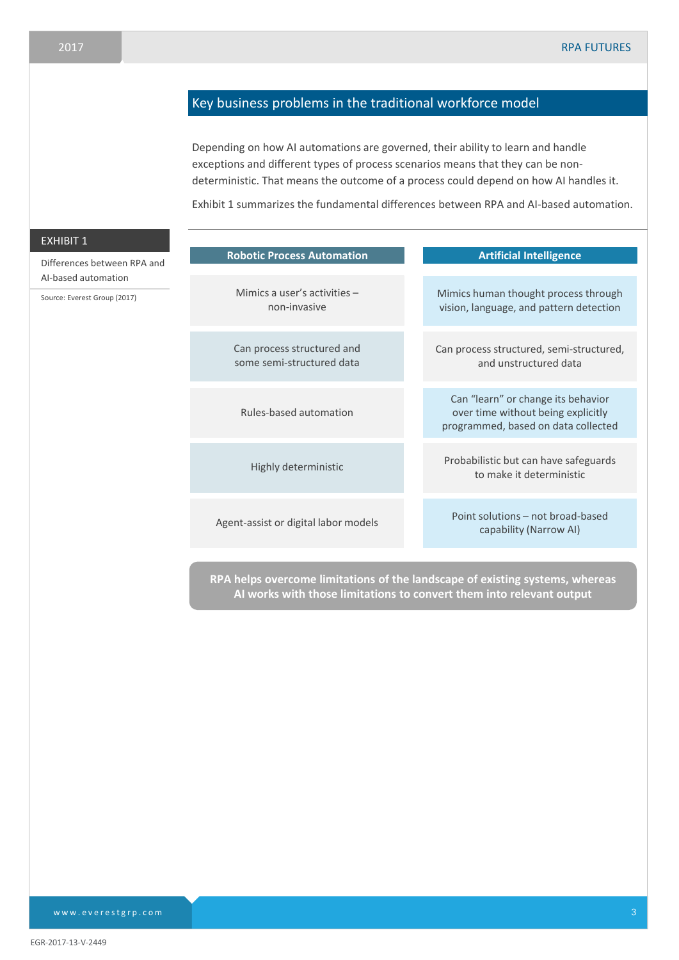# Key business problems in the traditional workforce model

Depending on how AI automations are governed, their ability to learn and handle exceptions and different types of process scenarios means that they can be nondeterministic. That means the outcome of a process could depend on how AI handles it.

Exhibit 1 summarizes the fundamental differences between RPA and AI-based automation.

| <u>EX</u> HIBIT 1            |                                                         |                                                                                                                 |
|------------------------------|---------------------------------------------------------|-----------------------------------------------------------------------------------------------------------------|
| Differences between RPA and  | <b>Robotic Process Automation</b>                       | <b>Artificial Intelligence</b>                                                                                  |
| Al-based automation          | Mimics a user's activities $-$                          |                                                                                                                 |
| Source: Everest Group (2017) | non-invasive                                            | Mimics human thought process through<br>vision, language, and pattern detection                                 |
|                              | Can process structured and<br>some semi-structured data | Can process structured, semi-structured,<br>and unstructured data                                               |
|                              | Rules-based automation                                  | Can "learn" or change its behavior<br>over time without being explicitly<br>programmed, based on data collected |
|                              | Highly deterministic                                    | Probabilistic but can have safeguards<br>to make it deterministic                                               |
|                              | Agent-assist or digital labor models                    | Point solutions – not broad-based<br>capability (Narrow AI)                                                     |
|                              |                                                         |                                                                                                                 |

**RPA helps overcome limitations of the landscape of existing systems, whereas AI works with those limitations to convert them into relevant output**

www.everestgrp.com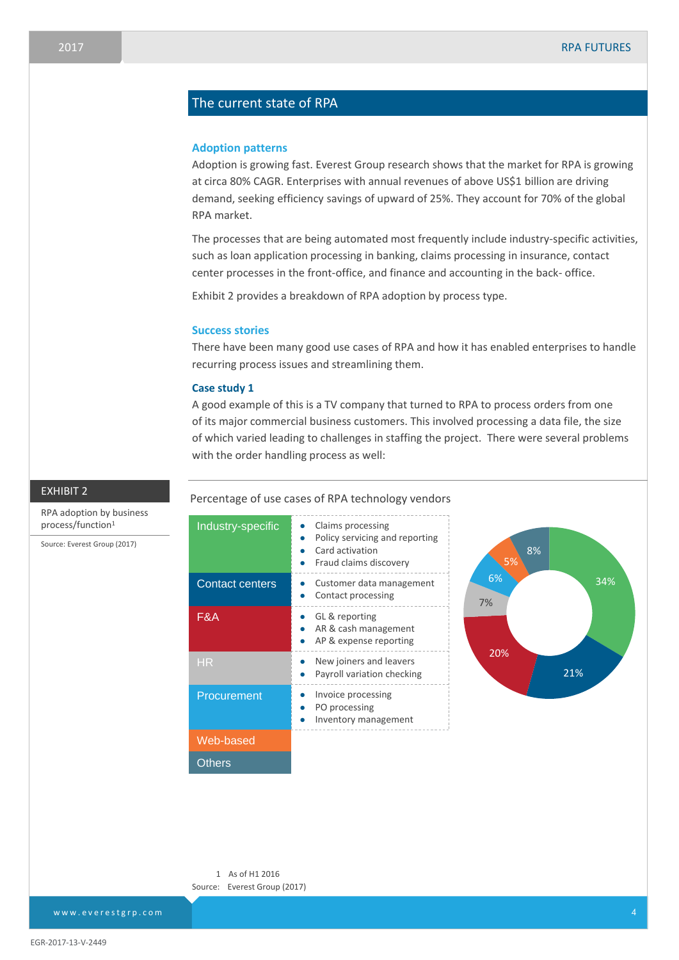## The current state of RPA

#### **Adoption patterns**

Adoption is growing fast. Everest Group research shows that the market for RPA is growing at circa 80% CAGR. Enterprises with annual revenues of above US\$1 billion are driving demand, seeking efficiency savings of upward of 25%. They account for 70% of the global RPA market.

The processes that are being automated most frequently include industry-specific activities, such as loan application processing in banking, claims processing in insurance, contact center processes in the front-office, and finance and accounting in the back- office.

Exhibit 2 provides a breakdown of RPA adoption by process type.

#### **Success stories**

There have been many good use cases of RPA and how it has enabled enterprises to handle recurring process issues and streamlining them.

#### **Case study 1**

A good example of this is a TV company that turned to RPA to process orders from one of its major commercial business customers. This involved processing a data file, the size of which varied leading to challenges in staffing the project. There were several problems with the order handling process as well:

#### Percentage of use cases of RPA technology vendors



1 As of H1 2016 Source: Everest Group (2017)

RPA adoption by business process/function<sup>1</sup>

EXHIBIT 2

Source: Everest Group (2017)

www.everestgrp.com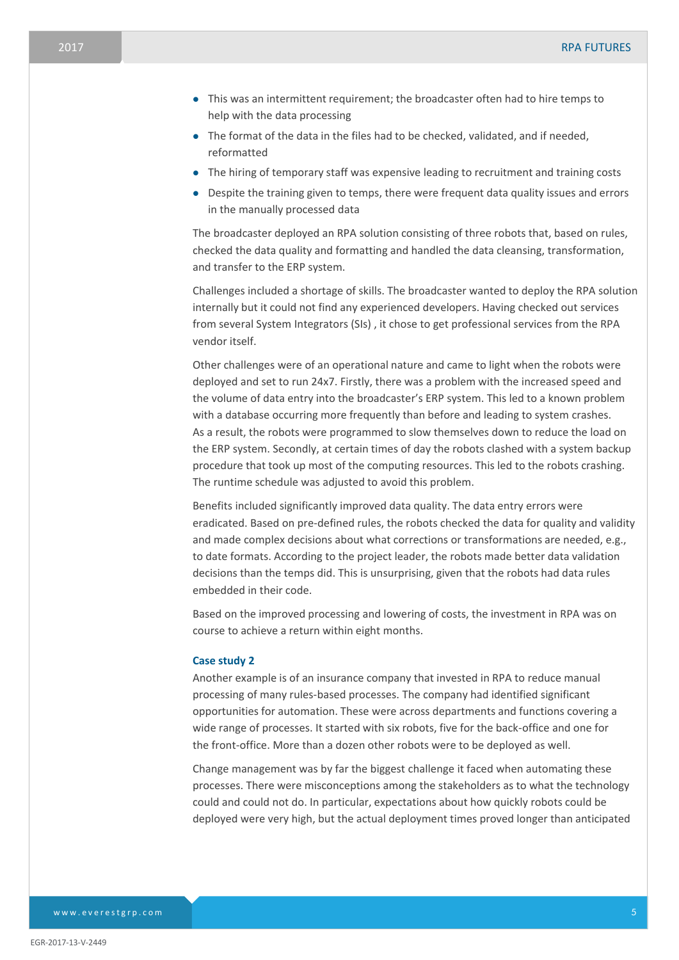- This was an intermittent requirement; the broadcaster often had to hire temps to help with the data processing
- The format of the data in the files had to be checked, validated, and if needed, reformatted
- The hiring of temporary staff was expensive leading to recruitment and training costs
- Despite the training given to temps, there were frequent data quality issues and errors in the manually processed data

The broadcaster deployed an RPA solution consisting of three robots that, based on rules, checked the data quality and formatting and handled the data cleansing, transformation, and transfer to the ERP system.

Challenges included a shortage of skills. The broadcaster wanted to deploy the RPA solution internally but it could not find any experienced developers. Having checked out services from several System Integrators (SIs) , it chose to get professional services from the RPA vendor itself.

Other challenges were of an operational nature and came to light when the robots were deployed and set to run 24x7. Firstly, there was a problem with the increased speed and the volume of data entry into the broadcaster's ERP system. This led to a known problem with a database occurring more frequently than before and leading to system crashes. As a result, the robots were programmed to slow themselves down to reduce the load on the ERP system. Secondly, at certain times of day the robots clashed with a system backup procedure that took up most of the computing resources. This led to the robots crashing. The runtime schedule was adjusted to avoid this problem.

Benefits included significantly improved data quality. The data entry errors were eradicated. Based on pre-defined rules, the robots checked the data for quality and validity and made complex decisions about what corrections or transformations are needed, e.g., to date formats. According to the project leader, the robots made better data validation decisions than the temps did. This is unsurprising, given that the robots had data rules embedded in their code.

Based on the improved processing and lowering of costs, the investment in RPA was on course to achieve a return within eight months.

#### **Case study 2**

Another example is of an insurance company that invested in RPA to reduce manual processing of many rules-based processes. The company had identified significant opportunities for automation. These were across departments and functions covering a wide range of processes. It started with six robots, five for the back-office and one for the front-office. More than a dozen other robots were to be deployed as well.

Change management was by far the biggest challenge it faced when automating these processes. There were misconceptions among the stakeholders as to what the technology could and could not do. In particular, expectations about how quickly robots could be deployed were very high, but the actual deployment times proved longer than anticipated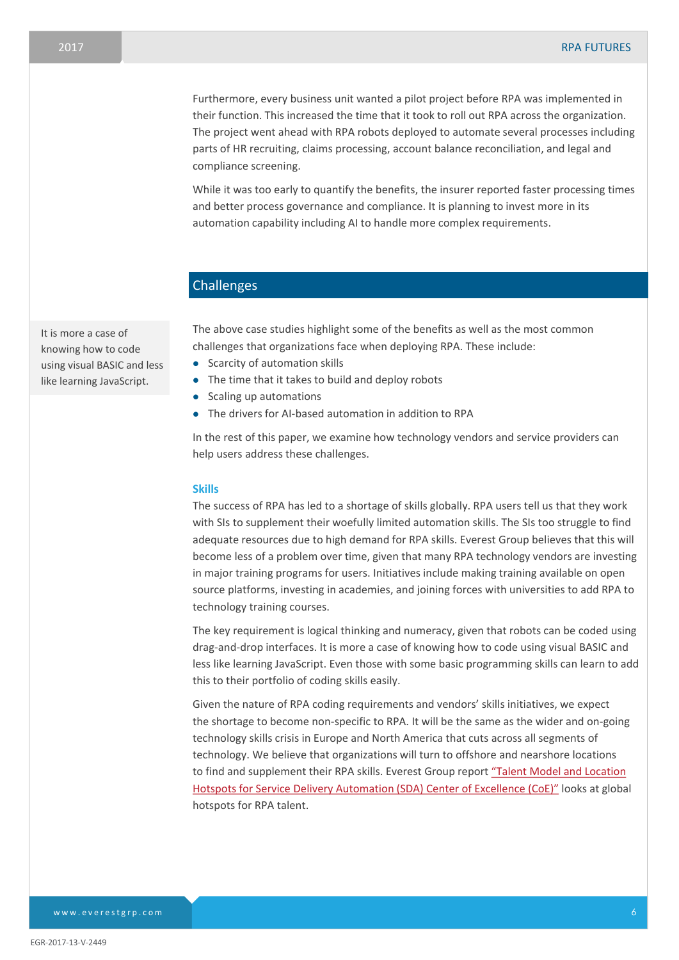Furthermore, every business unit wanted a pilot project before RPA was implemented in their function. This increased the time that it took to roll out RPA across the organization. The project went ahead with RPA robots deployed to automate several processes including parts of HR recruiting, claims processing, account balance reconciliation, and legal and compliance screening.

While it was too early to quantify the benefits, the insurer reported faster processing times and better process governance and compliance. It is planning to invest more in its automation capability including AI to handle more complex requirements.

## Challenges

The above case studies highlight some of the benefits as well as the most common challenges that organizations face when deploying RPA. These include:

- Scarcity of automation skills
- The time that it takes to build and deploy robots
- Scaling up automations
- The drivers for AI-based automation in addition to RPA

In the rest of this paper, we examine how technology vendors and service providers can help users address these challenges.

#### **Skills**

The success of RPA has led to a shortage of skills globally. RPA users tell us that they work with SIs to supplement their woefully limited automation skills. The SIs too struggle to find adequate resources due to high demand for RPA skills. Everest Group believes that this will become less of a problem over time, given that many RPA technology vendors are investing in major training programs for users. Initiatives include making training available on open source platforms, investing in academies, and joining forces with universities to add RPA to technology training courses.

The key requirement is logical thinking and numeracy, given that robots can be coded using drag-and-drop interfaces. It is more a case of knowing how to code using visual BASIC and less like learning JavaScript. Even those with some basic programming skills can learn to add this to their portfolio of coding skills easily.

Given the nature of RPA coding requirements and vendors' skills initiatives, we expect the shortage to become non-specific to RPA. It will be the same as the wider and on-going technology skills crisis in Europe and North America that cuts across all segments of technology. We believe that organizations will turn to offshore and nearshore locations to find and supplement their RPA skills. Everest Group report "Talent Model and Location [Hotspots for Service Delivery Automation \(SDA\) Center of Excellence \(CoE](https://www2.everestgrp.com/reportaction/EGR-2017-2-R-2283/toc))" looks at global hotspots for RPA talent.

It is more a case of knowing how to code using visual BASIC and less like learning JavaScript.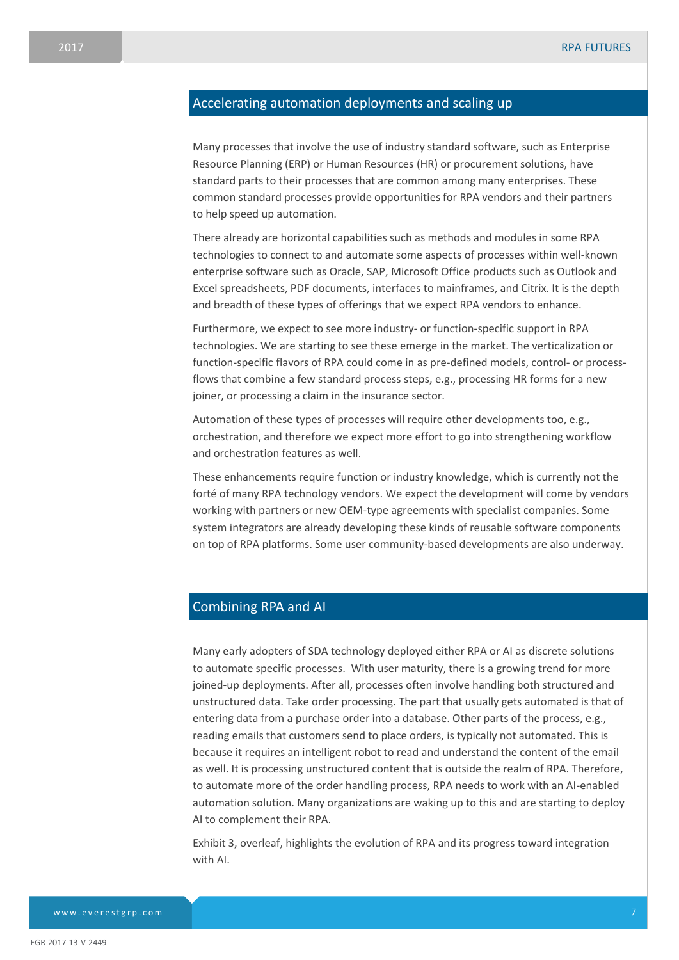## Accelerating automation deployments and scaling up

Many processes that involve the use of industry standard software, such as Enterprise Resource Planning (ERP) or Human Resources (HR) or procurement solutions, have standard parts to their processes that are common among many enterprises. These common standard processes provide opportunities for RPA vendors and their partners to help speed up automation.

There already are horizontal capabilities such as methods and modules in some RPA technologies to connect to and automate some aspects of processes within well-known enterprise software such as Oracle, SAP, Microsoft Office products such as Outlook and Excel spreadsheets, PDF documents, interfaces to mainframes, and Citrix. It is the depth and breadth of these types of offerings that we expect RPA vendors to enhance.

Furthermore, we expect to see more industry- or function-specific support in RPA technologies. We are starting to see these emerge in the market. The verticalization or function-specific flavors of RPA could come in as pre-defined models, control- or processflows that combine a few standard process steps, e.g., processing HR forms for a new joiner, or processing a claim in the insurance sector.

Automation of these types of processes will require other developments too, e.g., orchestration, and therefore we expect more effort to go into strengthening workflow and orchestration features as well.

These enhancements require function or industry knowledge, which is currently not the forté of many RPA technology vendors. We expect the development will come by vendors working with partners or new OEM-type agreements with specialist companies. Some system integrators are already developing these kinds of reusable software components on top of RPA platforms. Some user community-based developments are also underway.

### Combining RPA and AI

Many early adopters of SDA technology deployed either RPA or AI as discrete solutions to automate specific processes. With user maturity, there is a growing trend for more joined-up deployments. After all, processes often involve handling both structured and unstructured data. Take order processing. The part that usually gets automated is that of entering data from a purchase order into a database. Other parts of the process, e.g., reading emails that customers send to place orders, is typically not automated. This is because it requires an intelligent robot to read and understand the content of the email as well. It is processing unstructured content that is outside the realm of RPA. Therefore, to automate more of the order handling process, RPA needs to work with an AI-enabled automation solution. Many organizations are waking up to this and are starting to deploy AI to complement their RPA.

Exhibit 3, overleaf, highlights the evolution of RPA and its progress toward integration with AI.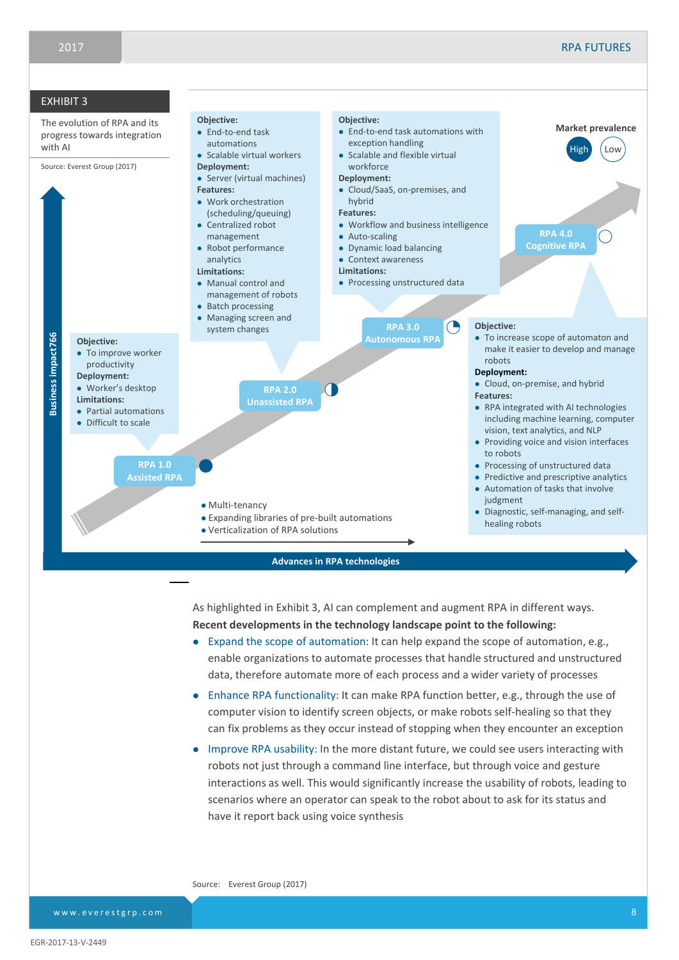

As highlighted in Exhibit 3, AI can complement and augment RPA in different ways. **Recent developments in the technology landscape point to the following:**

- Expand the scope of automation: It can help expand the scope of automation, e.g., enable organizations to automate processes that handle structured and unstructured data, therefore automate more of each process and a wider variety of processes
- Enhance RPA functionality: It can make RPA function better, e.g., through the use of computer vision to identify screen objects, or make robots self-healing so that they can fix problems as they occur instead of stopping when they encounter an exception
- Improve RPA usability: In the more distant future, we could see users interacting with robots not just through a command line interface, but through voice and gesture interactions as well. This would significantly increase the usability of robots, leading to scenarios where an operator can speak to the robot about to ask for its status and have it report back using voice synthesis

Source: Everest Group (2017)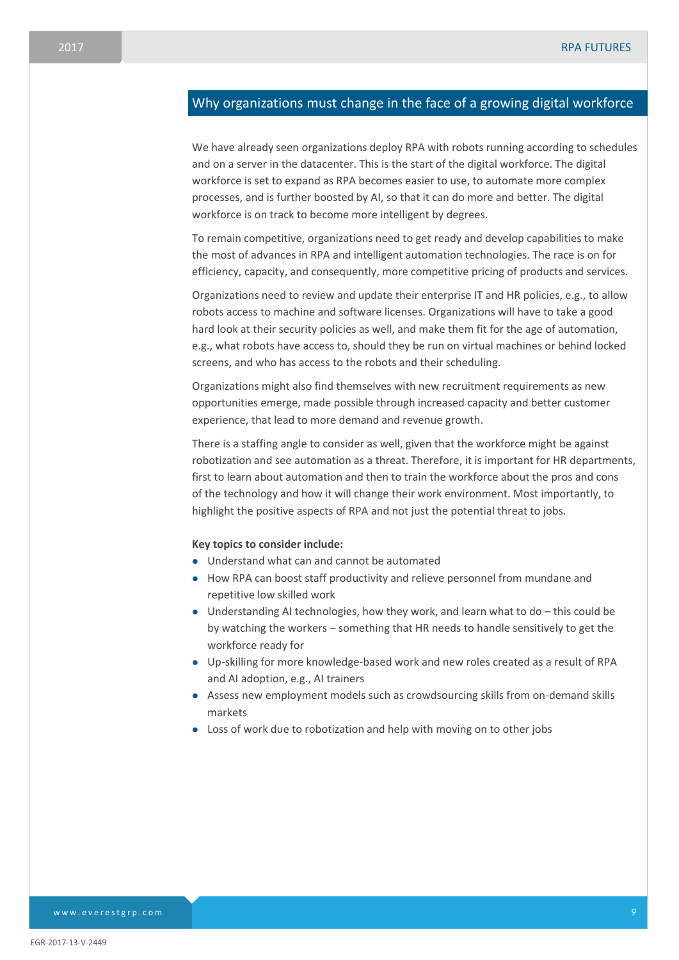## Why organizations must change in the face of a growing digital workforce

We have already seen organizations deploy RPA with robots running according to schedules and on a server in the datacenter. This is the start of the digital workforce. The digital workforce is set to expand as RPA becomes easier to use, to automate more complex processes, and is further boosted by AI, so that it can do more and better. The digital workforce is on track to become more intelligent by degrees.

To remain competitive, organizations need to get ready and develop capabilities to make the most of advances in RPA and intelligent automation technologies. The race is on for efficiency, capacity, and consequently, more competitive pricing of products and services.

Organizations need to review and update their enterprise IT and HR policies, e.g., to allow robots access to machine and software licenses. Organizations will have to take a good hard look at their security policies as well, and make them fit for the age of automation, e.g., what robots have access to, should they be run on virtual machines or behind locked screens, and who has access to the robots and their scheduling.

Organizations might also find themselves with new recruitment requirements as new opportunities emerge, made possible through increased capacity and better customer experience, that lead to more demand and revenue growth.

There is a staffing angle to consider as well, given that the workforce might be against robotization and see automation as a threat. Therefore, it is important for HR departments, first to learn about automation and then to train the workforce about the pros and cons of the technology and how it will change their work environment. Most importantly, to highlight the positive aspects of RPA and not just the potential threat to jobs.

#### **Key topics to consider include:**

- Understand what can and cannot be automated
- How RPA can boost staff productivity and relieve personnel from mundane and repetitive low skilled work
- Understanding AI technologies, how they work, and learn what to do this could be by watching the workers – something that HR needs to handle sensitively to get the workforce ready for
- Up-skilling for more knowledge-based work and new roles created as a result of RPA and AI adoption, e.g., AI trainers
- Assess new employment models such as crowdsourcing skills from on-demand skills markets
- Loss of work due to robotization and help with moving on to other jobs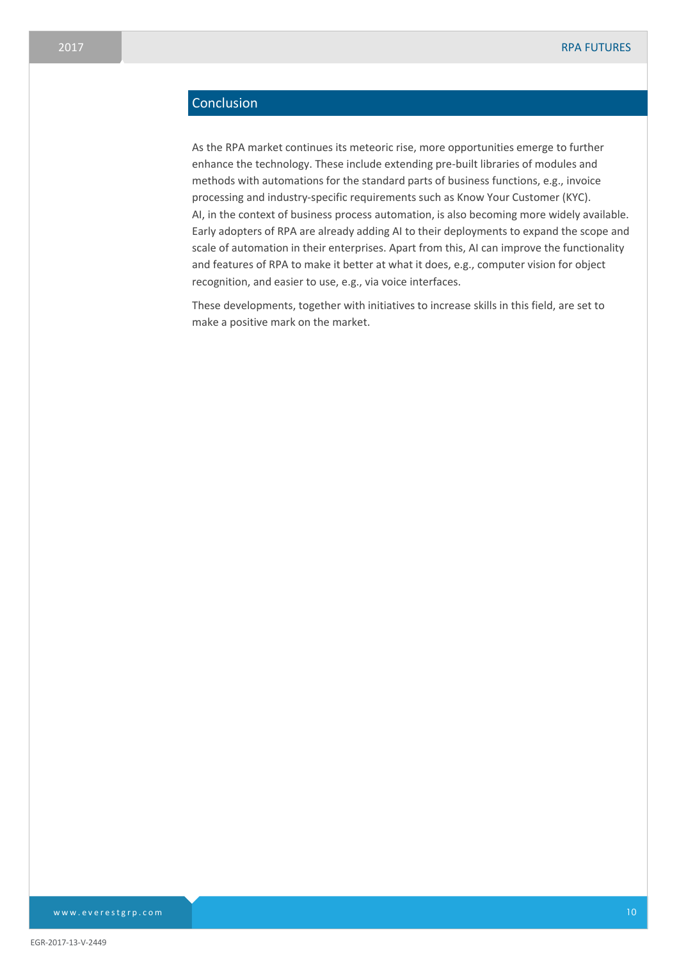# Conclusion

As the RPA market continues its meteoric rise, more opportunities emerge to further enhance the technology. These include extending pre-built libraries of modules and methods with automations for the standard parts of business functions, e.g., invoice processing and industry-specific requirements such as Know Your Customer (KYC). AI, in the context of business process automation, is also becoming more widely available. Early adopters of RPA are already adding AI to their deployments to expand the scope and scale of automation in their enterprises. Apart from this, AI can improve the functionality and features of RPA to make it better at what it does, e.g., computer vision for object recognition, and easier to use, e.g., via voice interfaces.

These developments, together with initiatives to increase skills in this field, are set to make a positive mark on the market.